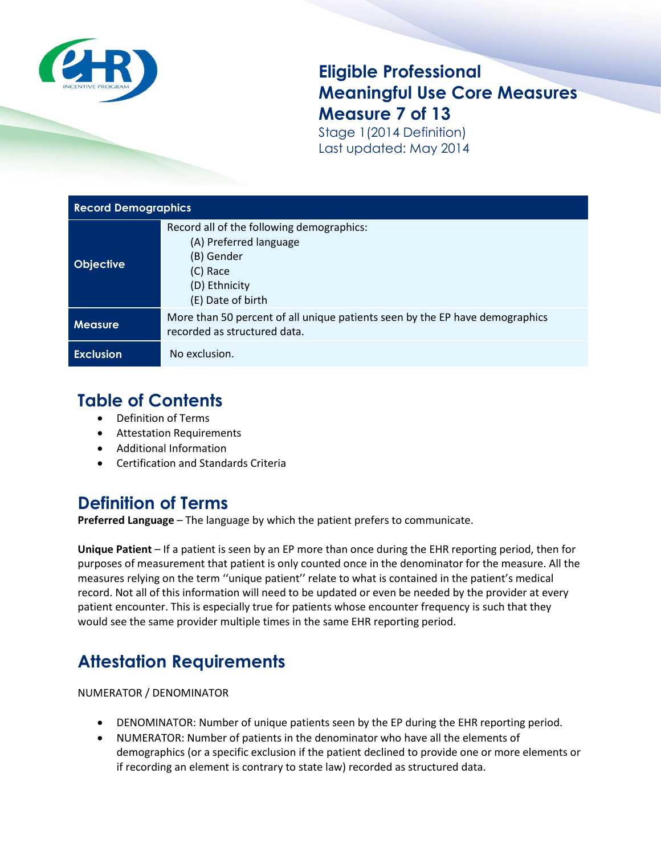

### **Eligible Professional Meaningful Use Core Measures Measure 7 of 13**

Stage 1(2014 Definition) Last updated: May 2014

| <b>Record Demographics</b> |                                                                                                                                     |  |
|----------------------------|-------------------------------------------------------------------------------------------------------------------------------------|--|
| <b>Objective</b>           | Record all of the following demographics:<br>(A) Preferred language<br>(B) Gender<br>(C) Race<br>(D) Ethnicity<br>(E) Date of birth |  |
| <b>Measure</b>             | More than 50 percent of all unique patients seen by the EP have demographics<br>recorded as structured data.                        |  |
| <b>Exclusion</b>           | No exclusion.                                                                                                                       |  |

## **Table of Contents**

- Definition of Terms
- Attestation Requirements
- Additional Information
- Certification and Standards Criteria

### **Definition of Terms**

**Preferred Language** – The language by which the patient prefers to communicate.

**Unique Patient** – If a patient is seen by an EP more than once during the EHR reporting period, then for purposes of measurement that patient is only counted once in the denominator for the measure. All the measures relying on the term ''unique patient'' relate to what is contained in the patient's medical record. Not all of this information will need to be updated or even be needed by the provider at every patient encounter. This is especially true for patients whose encounter frequency is such that they would see the same provider multiple times in the same EHR reporting period.

# **Attestation Requirements**

NUMERATOR / DENOMINATOR

- DENOMINATOR: Number of unique patients seen by the EP during the EHR reporting period.
- NUMERATOR: Number of patients in the denominator who have all the elements of demographics (or a specific exclusion if the patient declined to provide one or more elements or if recording an element is contrary to state law) recorded as structured data.